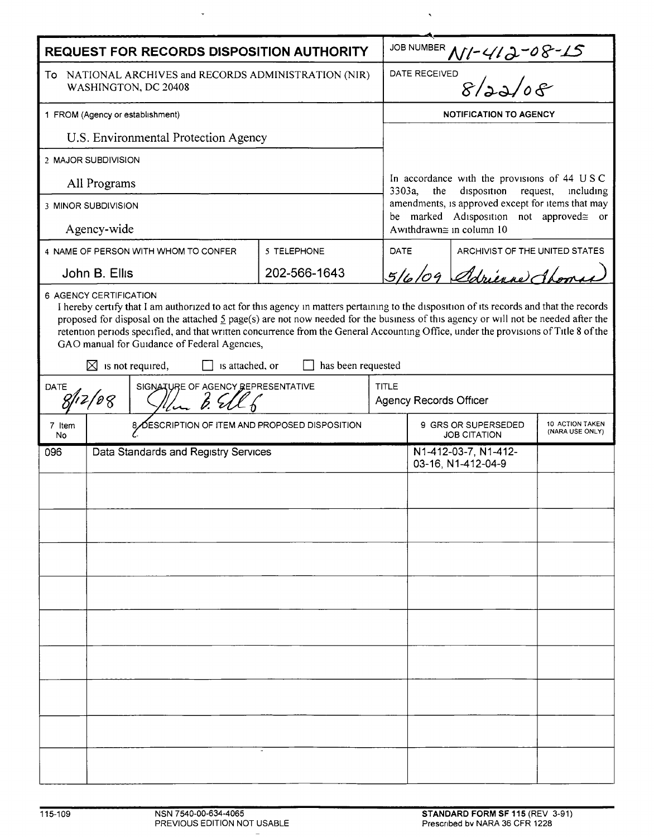| REQUEST FOR RECORDS DISPOSITION AUTHORITY                                                                                                                                                                                                                                                                                                                                                                                                                                                                                                                                              |                                                |                                      |              |              |                                                                                                                                                                                                                                  |  |  |  |
|----------------------------------------------------------------------------------------------------------------------------------------------------------------------------------------------------------------------------------------------------------------------------------------------------------------------------------------------------------------------------------------------------------------------------------------------------------------------------------------------------------------------------------------------------------------------------------------|------------------------------------------------|--------------------------------------|--------------|--------------|----------------------------------------------------------------------------------------------------------------------------------------------------------------------------------------------------------------------------------|--|--|--|
| To NATIONAL ARCHIVES and RECORDS ADMINISTRATION (NIR)<br>WASHINGTON, DC 20408                                                                                                                                                                                                                                                                                                                                                                                                                                                                                                          |                                                |                                      |              |              | JOB NUMBER $M$ -412-08-15                                                                                                                                                                                                        |  |  |  |
| 1 FROM (Agency or establishment)                                                                                                                                                                                                                                                                                                                                                                                                                                                                                                                                                       |                                                |                                      |              |              | <b>NOTIFICATION TO AGENCY</b>                                                                                                                                                                                                    |  |  |  |
| U.S. Environmental Protection Agency                                                                                                                                                                                                                                                                                                                                                                                                                                                                                                                                                   |                                                |                                      |              |              |                                                                                                                                                                                                                                  |  |  |  |
| 2 MAJOR SUBDIVISION                                                                                                                                                                                                                                                                                                                                                                                                                                                                                                                                                                    |                                                |                                      |              |              | In accordance with the provisions of 44 USC<br>disposition<br>3303a,<br>the<br>request,<br>including<br>amendments, is approved except for items that may<br>be marked Adisposition not approved gor<br>Awithdrawn≅ in column 10 |  |  |  |
| All Programs                                                                                                                                                                                                                                                                                                                                                                                                                                                                                                                                                                           |                                                |                                      |              |              |                                                                                                                                                                                                                                  |  |  |  |
| 3 MINOR SUBDIVISION                                                                                                                                                                                                                                                                                                                                                                                                                                                                                                                                                                    |                                                |                                      |              |              |                                                                                                                                                                                                                                  |  |  |  |
| Agency-wide                                                                                                                                                                                                                                                                                                                                                                                                                                                                                                                                                                            |                                                |                                      |              |              |                                                                                                                                                                                                                                  |  |  |  |
|                                                                                                                                                                                                                                                                                                                                                                                                                                                                                                                                                                                        |                                                | 4 NAME OF PERSON WITH WHOM TO CONFER | 5 TELEPHONE  |              | DATE<br>ARCHIVIST OF THE UNITED STATES                                                                                                                                                                                           |  |  |  |
| John B. Ellis                                                                                                                                                                                                                                                                                                                                                                                                                                                                                                                                                                          |                                                |                                      | 202-566-1643 |              | 5/6/09 Adriera Chome                                                                                                                                                                                                             |  |  |  |
| 6 AGENCY CERTIFICATION<br>I hereby certify that I am authorized to act for this agency in matters pertaining to the disposition of its records and that the records<br>proposed for disposal on the attached $\frac{5}{2}$ page(s) are not now needed for the business of this agency or will not be needed after the<br>retention periods specified, and that written concurrence from the General Accounting Office, under the provisions of Title 8 of the<br>GAO manual for Guidance of Federal Agencies,<br>has been requested<br>$\boxtimes$ is not required,<br>is attached, or |                                                |                                      |              |              |                                                                                                                                                                                                                                  |  |  |  |
| SIGNATURE OF AGENCY REPRESENTATIVE<br>DATE<br>12/08                                                                                                                                                                                                                                                                                                                                                                                                                                                                                                                                    |                                                |                                      |              | <b>TITLE</b> | <b>Agency Records Officer</b>                                                                                                                                                                                                    |  |  |  |
| 7 Item<br>No                                                                                                                                                                                                                                                                                                                                                                                                                                                                                                                                                                           | 8 OESCRIPTION OF ITEM AND PROPOSED DISPOSITION |                                      |              |              | 9 GRS OR SUPERSEDED<br>10 ACTION TAKEN<br>(NARA USE ONLY)<br><b>JOB CITATION</b>                                                                                                                                                 |  |  |  |
| 096                                                                                                                                                                                                                                                                                                                                                                                                                                                                                                                                                                                    | Data Standards and Registry Services           |                                      |              |              | N1-412-03-7, N1-412-<br>03-16, N1-412-04-9                                                                                                                                                                                       |  |  |  |
|                                                                                                                                                                                                                                                                                                                                                                                                                                                                                                                                                                                        |                                                |                                      |              |              |                                                                                                                                                                                                                                  |  |  |  |
|                                                                                                                                                                                                                                                                                                                                                                                                                                                                                                                                                                                        |                                                |                                      |              |              |                                                                                                                                                                                                                                  |  |  |  |
|                                                                                                                                                                                                                                                                                                                                                                                                                                                                                                                                                                                        |                                                |                                      |              |              |                                                                                                                                                                                                                                  |  |  |  |
|                                                                                                                                                                                                                                                                                                                                                                                                                                                                                                                                                                                        |                                                |                                      |              |              |                                                                                                                                                                                                                                  |  |  |  |
|                                                                                                                                                                                                                                                                                                                                                                                                                                                                                                                                                                                        |                                                |                                      |              |              |                                                                                                                                                                                                                                  |  |  |  |
|                                                                                                                                                                                                                                                                                                                                                                                                                                                                                                                                                                                        |                                                |                                      |              |              |                                                                                                                                                                                                                                  |  |  |  |
|                                                                                                                                                                                                                                                                                                                                                                                                                                                                                                                                                                                        |                                                |                                      |              |              |                                                                                                                                                                                                                                  |  |  |  |
|                                                                                                                                                                                                                                                                                                                                                                                                                                                                                                                                                                                        |                                                |                                      |              |              |                                                                                                                                                                                                                                  |  |  |  |
|                                                                                                                                                                                                                                                                                                                                                                                                                                                                                                                                                                                        |                                                |                                      |              |              |                                                                                                                                                                                                                                  |  |  |  |
|                                                                                                                                                                                                                                                                                                                                                                                                                                                                                                                                                                                        |                                                |                                      |              |              |                                                                                                                                                                                                                                  |  |  |  |

 $\langle \cdot, \cdot \rangle$ 

 $\mathcal{A}$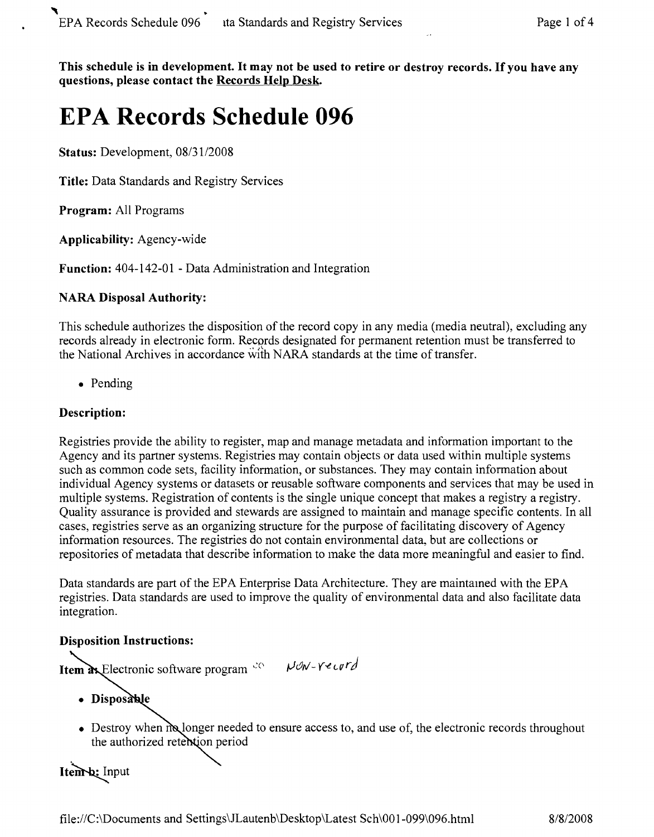This schedule is in development. It may not be used to retire or destroy records. If you have any **questions, please contact the Records Help Desk.**

# **EPA Records Schedule 096**

Status: Development, 08/31/2008

**Title:** Data Standards and Registry Services

**Program:** All Programs

**Applicability:** Agency-wide

**Function:** 404-142-01 - Data Administration and Integration

#### **NARA Disposal Authority:**

This schedule authorizes the disposition of the record copy in any media (media neutral), excluding any records already in electronic form. Records designated for permanent retention must be transferred to the National Archives in accordance with NARA standards at the time of transfer.

• Pending

### **Description:**

Registries provide the ability to register, map and manage metadata and information important to the Agency and its partner systems. Registries may contain objects or data used within multiple systems such as common code sets, facility information, or substances. They may contain information about individual Agency systems or datasets or reusable software components and services that may be used in multiple systems. Registration of contents is the single unique concept that makes a registry a registry. Quality assurance is provided and stewards are assigned to maintain and manage specific contents. In all cases, registries serve as an organizing structure for the purpose of facilitating discovery of Agency information resources. The registries do not contain environmental data, but are collections or repositories of metadata that describe information to make the data more meaningful and easier to find.

Data standards are part of the EPA Enterprise Data Architecture. They are maintamed with the EPA registries. Data standards are used to improve the quality of environmental data and also facilitate data integration.

#### **Disposition Instructions:**

Item ax Electronic software program complete New-Yeard

- · Disposable
- Destroy when  $m$  longer needed to ensure access to, and use of, the electronic records throughout the authorized retention period

## Itemb: Input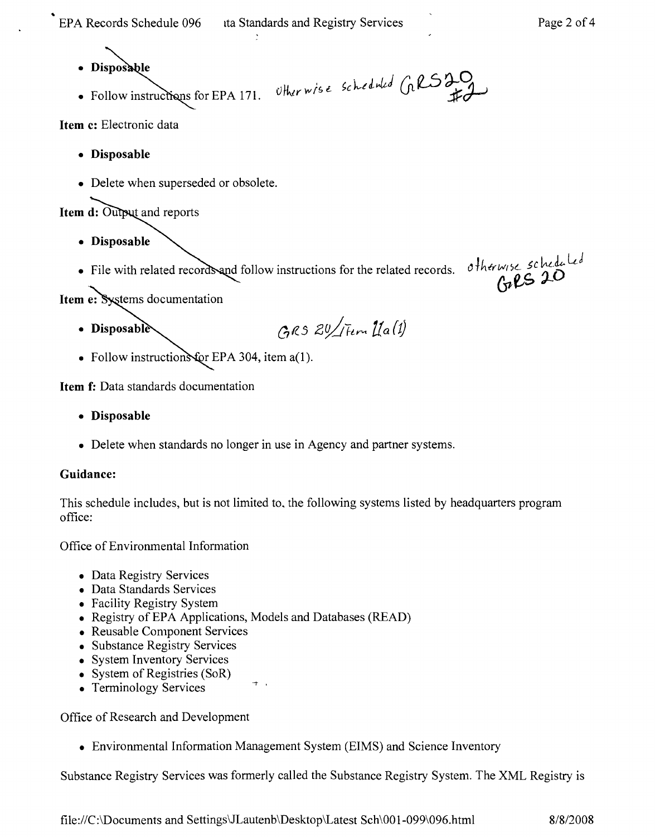..

- **• Dispos**
- Otherwise scheduled GRS20 • Follow instructions for EPA 171.

**Item c:** Electronic data

- **• Disposable**
- Delete when superseded or obsolete.

Item d: Output and reports

- **• Disposable**
- File with related records and follow instructions for the related records. otherwise scheduled<br>materials decompatible

Item e: Systems documentation

- GRS 20/ Fem La(1) • Disposable
- Follow instructions for EPA 304, item  $a(1)$ .

**Item f:** Data standards documentation

- **• Disposable**
- Delete when standards no longer in use in Agency and partner systems.

#### **Guidance:**

This schedule includes, but is not limited to. the following systems listed by headquarters program office:

Office of Environmental Information

- Data Registry Services
- Data Standards Services
- Facility Registry System
- Registry of EPA Applications, Models and Databases (READ)
- Reusable Component Services
- Substance Registry Services
- System Inventory Services
- System of Registries (SoR)
- Terminology Services

Office of Research and Development

• Environmental Information Management System (EIMS) and Science Inventory

Substance Registry Services was formerly called the Substance Registry System. The XML Registry is

file://C:\Documents and Settings\JLautenb\Desktop\Latest Sch\OO1-099\096.html 8/8/2008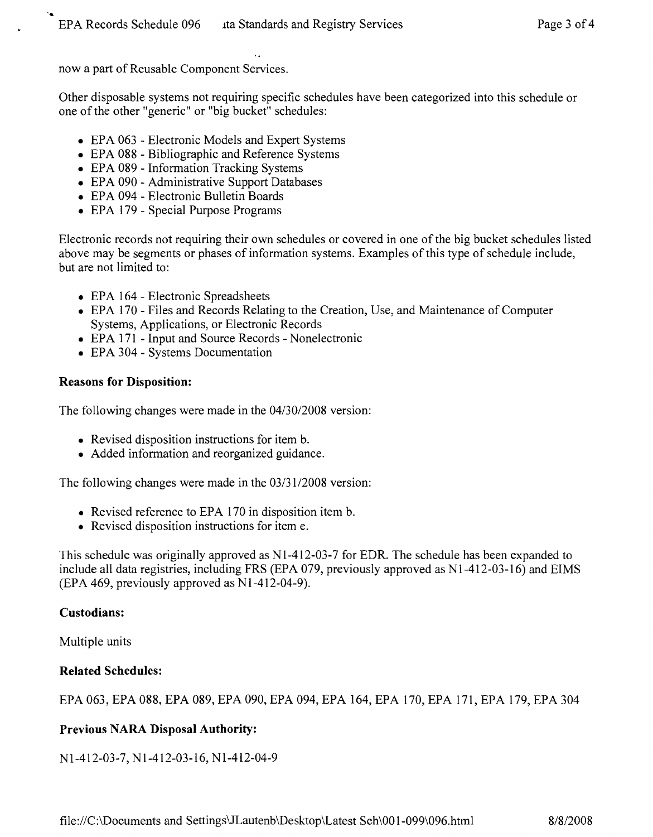now a part of Reusable Component Services.

Other disposable systems not requiring specific schedules have been categorized into this schedule or one of the other "generic" or "big bucket" schedules:

- EPA 063 Electronic Models and Expert Systems
- EPA 088 Bibliographic and Reference Systems
- EPA 089 Information Tracking Systems
- EPA 090 Administrative Support Databases
- • EPA 094 Electronic Bulletin Boards
- EPA 179 Special Purpose Programs

Electronic records not requiring their own schedules or covered in one of the big bucket schedules listed above may be segments or phases of information systems. Examples of this type of schedule include, but are not limited to:

- EPA 164 Electronic Spreadsheets
- EPA 170 Files and Records Relating to the Creation, Use, and Maintenance of Computer Systems, Applications, or Electronic Records
- EPA 171 Input and Source Records Nonelectronic
- EPA 304 Systems Documentation

#### **Reasons for Disposition:**

The following changes were made in the 04/30/2008 version:

- Revised disposition instructions for item b.
- Added information and reorganized guidance.

The following changes were made in the 03/31/2008 version:

- Revised reference to EPA 170 in disposition item b.
- Revised disposition instructions for item e.

This schedule was originally approved as  $N1-412-03-7$  for EDR. The schedule has been expanded to include all data registries, including FRS (EPA 079, previously approved as N1-412-03-16) and EIMS  $(EPA 469, previously approved as N1-412-04-9).$ 

#### **Custodians:**

Multiple units

#### **Related Schedules:**

EPA 063, EPA 088, EPA 089, EPA 090, EPA 094, EPA 164, EPA 170, EPA 171, EPA 179, EPA 304

#### **Previous NARA Disposal Authority:**

NI-412-03-7, NI-412-03-16, NI-412-04-9